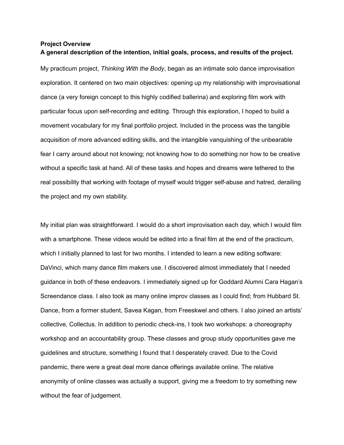## **Project Overview A general description of the intention, initial goals, process, and results of the project.**

My practicum project, *Thinking With the Body*, began as an intimate solo dance improvisation exploration. It centered on two main objectives: opening up my relationship with improvisational dance (a very foreign concept to this highly codified ballerina) and exploring film work with particular focus upon self-recording and editing. Through this exploration, I hoped to build a movement vocabulary for my final portfolio project. Included in the process was the tangible acquisition of more advanced editing skills, and the intangible vanquishing of the unbearable fear I carry around about not knowing; not knowing how to do something nor how to be creative without a specific task at hand. All of these tasks and hopes and dreams were tethered to the real possibility that working with footage of myself would trigger self-abuse and hatred, derailing the project and my own stability.

My initial plan was straightforward. I would do a short improvisation each day, which I would film with a smartphone. These videos would be edited into a final film at the end of the practicum, which I initially planned to last for two months. I intended to learn a new editing software: DaVinci, which many dance film makers use. I discovered almost immediately that I needed guidance in both of these endeavors. I immediately signed up for Goddard Alumni Cara Hagan's Screendance class. I also took as many online improv classes as I could find; from Hubbard St. Dance, from a former student, Savea Kagan, from Freeskwel and others. I also joined an artists' collective, Collectus. In addition to periodic check-ins, I took two workshops: a choreography workshop and an accountability group. These classes and group study opportunities gave me guidelines and structure, something I found that I desperately craved. Due to the Covid pandemic, there were a great deal more dance offerings available online. The relative anonymity of online classes was actually a support, giving me a freedom to try something new without the fear of judgement.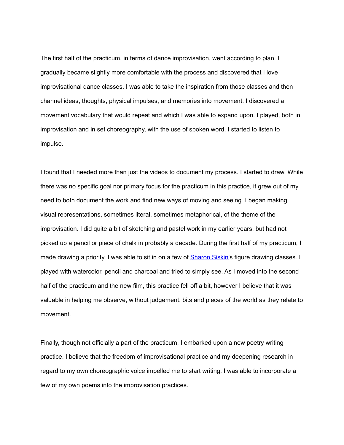The first half of the practicum, in terms of dance improvisation, went according to plan. I gradually became slightly more comfortable with the process and discovered that I love improvisational dance classes. I was able to take the inspiration from those classes and then channel ideas, thoughts, physical impulses, and memories into movement. I discovered a movement vocabulary that would repeat and which I was able to expand upon. I played, both in improvisation and in set choreography, with the use of spoken word. I started to listen to impulse.

I found that I needed more than just the videos to document my process. I started to draw. While there was no specific goal nor primary focus for the practicum in this practice, it grew out of my need to both document the work and find new ways of moving and seeing. I began making visual representations, sometimes literal, sometimes metaphorical, of the theme of the improvisation. I did quite a bit of sketching and pastel work in my earlier years, but had not picked up a pencil or piece of chalk in probably a decade. During the first half of my practicum, I made drawing a priority. I was able to sit in on a few of **[Sharon](mailto:sharon.siskin@goddard.edu) Siskin's** figure drawing classes. I played with watercolor, pencil and charcoal and tried to simply see. As I moved into the second half of the practicum and the new film, this practice fell off a bit, however I believe that it was valuable in helping me observe, without judgement, bits and pieces of the world as they relate to movement.

Finally, though not officially a part of the practicum, I embarked upon a new poetry writing practice. I believe that the freedom of improvisational practice and my deepening research in regard to my own choreographic voice impelled me to start writing. I was able to incorporate a few of my own poems into the improvisation practices.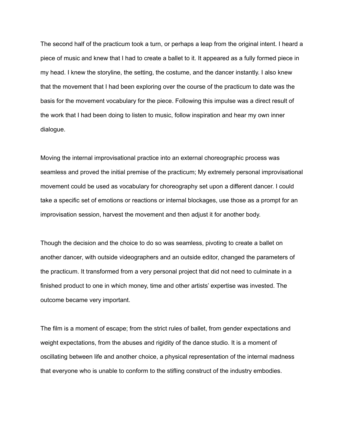The second half of the practicum took a turn, or perhaps a leap from the original intent. I heard a piece of music and knew that I had to create a ballet to it. It appeared as a fully formed piece in my head. I knew the storyline, the setting, the costume, and the dancer instantly. I also knew that the movement that I had been exploring over the course of the practicum to date was the basis for the movement vocabulary for the piece. Following this impulse was a direct result of the work that I had been doing to listen to music, follow inspiration and hear my own inner dialogue.

Moving the internal improvisational practice into an external choreographic process was seamless and proved the initial premise of the practicum; My extremely personal improvisational movement could be used as vocabulary for choreography set upon a different dancer. I could take a specific set of emotions or reactions or internal blockages, use those as a prompt for an improvisation session, harvest the movement and then adjust it for another body.

Though the decision and the choice to do so was seamless, pivoting to create a ballet on another dancer, with outside videographers and an outside editor, changed the parameters of the practicum. It transformed from a very personal project that did not need to culminate in a finished product to one in which money, time and other artists' expertise was invested. The outcome became very important.

The film is a moment of escape; from the strict rules of ballet, from gender expectations and weight expectations, from the abuses and rigidity of the dance studio. It is a moment of oscillating between life and another choice, a physical representation of the internal madness that everyone who is unable to conform to the stifling construct of the industry embodies.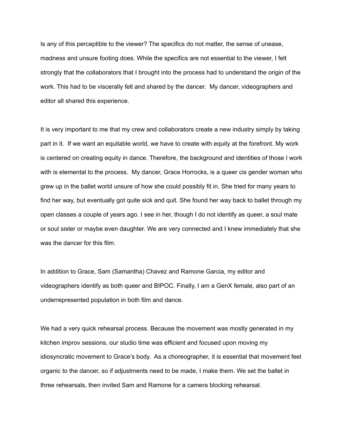Is any of this perceptible to the viewer? The specifics do not matter, the sense of unease, madness and unsure footing does. While the specifics are not essential to the viewer, I felt strongly that the collaborators that I brought into the process had to understand the origin of the work. This had to be viscerally felt and shared by the dancer. My dancer, videographers and editor all shared this experience.

It is very important to me that my crew and collaborators create a new industry simply by taking part in it. If we want an equitable world, we have to create with equity at the forefront. My work is centered on creating equity in dance. Therefore, the background and identities of those I work with is elemental to the process. My dancer, Grace Horrocks, is a queer cis gender woman who grew up in the ballet world unsure of how she could possibly fit in. She tried for many years to find her way, but eventually got quite sick and quit. She found her way back to ballet through my open classes a couple of years ago. I see in her, though I do not identify as queer, a soul mate or soul sister or maybe even daughter. We are very connected and I knew immediately that she was the dancer for this film.

In addition to Grace, Sam (Samantha) Chavez and Ramone Garcia, my editor and videographers identify as both queer and BIPOC. Finally, I am a GenX female, also part of an underrepresented population in both film and dance.

We had a very quick rehearsal process. Because the movement was mostly generated in my kitchen improv sessions, our studio time was efficient and focused upon moving my idiosyncratic movement to Grace's body. As a choreographer, it is essential that movement feel organic to the dancer, so if adjustments need to be made, I make them. We set the ballet in three rehearsals, then invited Sam and Ramone for a camera blocking rehearsal.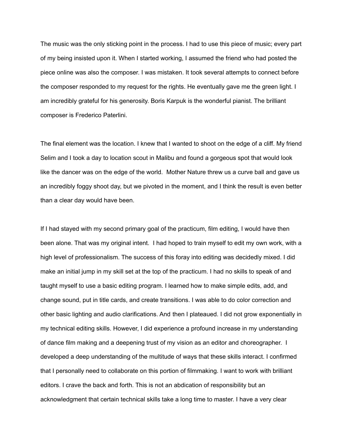The music was the only sticking point in the process. I had to use this piece of music; every part of my being insisted upon it. When I started working, I assumed the friend who had posted the piece online was also the composer. I was mistaken. It took several attempts to connect before the composer responded to my request for the rights. He eventually gave me the green light. I am incredibly grateful for his generosity. Boris Karpuk is the wonderful pianist. The brilliant composer is Frederico Paterlini.

The final element was the location. I knew that I wanted to shoot on the edge of a cliff. My friend Selim and I took a day to location scout in Malibu and found a gorgeous spot that would look like the dancer was on the edge of the world. Mother Nature threw us a curve ball and gave us an incredibly foggy shoot day, but we pivoted in the moment, and I think the result is even better than a clear day would have been.

If I had stayed with my second primary goal of the practicum, film editing, I would have then been alone. That was my original intent. I had hoped to train myself to edit my own work, with a high level of professionalism. The success of this foray into editing was decidedly mixed. I did make an initial jump in my skill set at the top of the practicum. I had no skills to speak of and taught myself to use a basic editing program. I learned how to make simple edits, add, and change sound, put in title cards, and create transitions. I was able to do color correction and other basic lighting and audio clarifications. And then I plateaued. I did not grow exponentially in my technical editing skills. However, I did experience a profound increase in my understanding of dance film making and a deepening trust of my vision as an editor and choreographer. I developed a deep understanding of the multitude of ways that these skills interact. I confirmed that I personally need to collaborate on this portion of filmmaking. I want to work with brilliant editors. I crave the back and forth. This is not an abdication of responsibility but an acknowledgment that certain technical skills take a long time to master. I have a very clear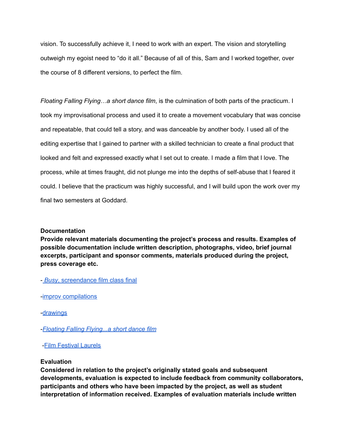vision. To successfully achieve it, I need to work with an expert. The vision and storytelling outweigh my egoist need to "do it all." Because of all of this, Sam and I worked together, over the course of 8 different versions, to perfect the film.

*Floating Falling Flying…a short dance film*, is the culmination of both parts of the practicum. I took my improvisational process and used it to create a movement vocabulary that was concise and repeatable, that could tell a story, and was danceable by another body. I used all of the editing expertise that I gained to partner with a skilled technician to create a final product that looked and felt and expressed exactly what I set out to create. I made a film that I love. The process, while at times fraught, did not plunge me into the depths of self-abuse that I feared it could. I believe that the practicum was highly successful, and I will build upon the work over my final two semesters at Goddard.

## **Documentation**

**Provide relevant materials documenting the project's process and results. Examples of possible documentation include written description, photographs, video, brief journal excerpts, participant and sponsor comments, materials produced during the project, press coverage etc.**

- *Busy*, [screendance](https://drive.google.com/file/d/1RoAsDcbvbvcUCNglnQvx3LhF9Cq8DluZ/view?usp=sharing) film class final

-improv [compilations](https://drive.google.com/drive/folders/1HhxXAlcrEaiQ6tEy-5ueFdcE9_Cfv-6X?usp=sharing)

-[drawings](https://drive.google.com/file/d/1RoAsDcbvbvcUCNglnQvx3LhF9Cq8DluZ/view?usp=sharing)

-*Floating Falling [Flying...a](https://vimeo.com/559816307) short dance film*

## -Film [Festival](https://drive.google.com/drive/folders/12hhtxsSk9jR9eQKEfk1e36M-gTSu6Ogr?usp=sharing) Laurels

#### **Evaluation**

**Considered in relation to the project's originally stated goals and subsequent developments, evaluation is expected to include feedback from community collaborators, participants and others who have been impacted by the project, as well as student interpretation of information received. Examples of evaluation materials include written**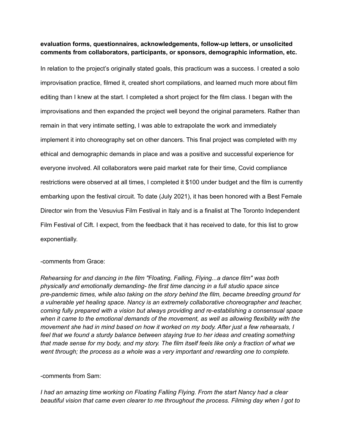# **evaluation forms, questionnaires, acknowledgements, follow-up letters, or unsolicited comments from collaborators, participants, or sponsors, demographic information, etc.**

In relation to the project's originally stated goals, this practicum was a success. I created a solo improvisation practice, filmed it, created short compilations, and learned much more about film editing than I knew at the start. I completed a short project for the film class. I began with the improvisations and then expanded the project well beyond the original parameters. Rather than remain in that very intimate setting, I was able to extrapolate the work and immediately implement it into choreography set on other dancers. This final project was completed with my ethical and demographic demands in place and was a positive and successful experience for everyone involved. All collaborators were paid market rate for their time, Covid compliance restrictions were observed at all times, I completed it \$100 under budget and the film is currently embarking upon the festival circuit. To date (July 2021), it has been honored with a Best Female Director win from the Vesuvius Film Festival in Italy and is a finalist at The Toronto Independent Film Festival of Cift. I expect, from the feedback that it has received to date, for this list to grow exponentially.

## -comments from Grace:

*Rehearsing for and dancing in the film "Floating, Falling, Flying...a dance film" was both physically and emotionally demanding- the first time dancing in a full studio space since pre-pandemic times, while also taking on the story behind the film, became breeding ground for a vulnerable yet healing space. Nancy is an extremely collaborative choreographer and teacher, coming fully prepared with a vision but always providing and re-establishing a consensual space when it came to the emotional demands of the movement, as well as allowing flexibility with the movement she had in mind based on how it worked on my body. After just a few rehearsals, I feel that we found a sturdy balance between staying true to her ideas and creating something* that made sense for my body, and my story. The film itself feels like only a fraction of what we *went through; the process as a whole was a very important and rewarding one to complete.*

## -comments from Sam:

*I had an amazing time working on Floating Falling Flying. From the start Nancy had a clear beautiful vision that came even clearer to me throughout the process. Filming day when I got to*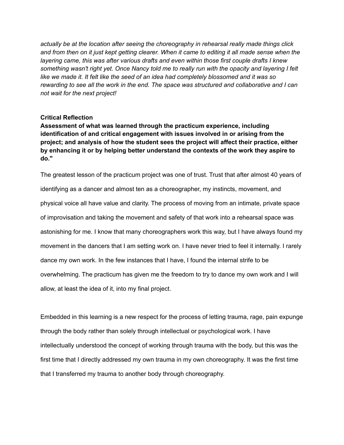*actually be at the location after seeing the choreography in rehearsal really made things click* and from then on it just kept getting clearer. When it came to editing it all made sense when the *layering came, this was after various drafts and even within those first couple drafts I knew something wasn't right yet. Once Nancy told me to really run with the opacity and layering I felt like we made it. It felt like the seed of an idea had completely blossomed and it was so rewarding to see all the work in the end. The space was structured and collaborative and I can not wait for the next project!*

### **Critical Reflection**

**Assessment of what was learned through the practicum experience, including identification of and critical engagement with issues involved in or arising from the project; and analysis of how the student sees the project will affect their practice, either by enhancing it or by helping better understand the contexts of the work they aspire to do."**

The greatest lesson of the practicum project was one of trust. Trust that after almost 40 years of identifying as a dancer and almost ten as a choreographer, my instincts, movement, and physical voice all have value and clarity. The process of moving from an intimate, private space of improvisation and taking the movement and safety of that work into a rehearsal space was astonishing for me. I know that many choreographers work this way, but I have always found my movement in the dancers that I am setting work on. I have never tried to feel it internally. I rarely dance my own work. In the few instances that I have, I found the internal strife to be overwhelming. The practicum has given me the freedom to try to dance my own work and I will allow, at least the idea of it, into my final project.

Embedded in this learning is a new respect for the process of letting trauma, rage, pain expunge through the body rather than solely through intellectual or psychological work. I have intellectually understood the concept of working through trauma with the body, but this was the first time that I directly addressed my own trauma in my own choreography. It was the first time that I transferred my trauma to another body through choreography.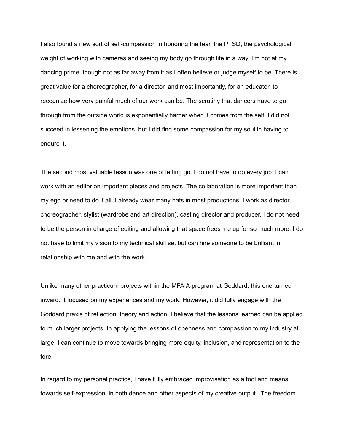I also found a new sort of self-compassion in honoring the fear, the PTSD, the psychological weight of working with cameras and seeing my body go through life in a way. I'm not at my dancing prime, though not as far away from it as I often believe or judge myself to be. There is great value for a choreographer, for a director, and most importantly, for an educator, to recognize how very painful much of our work can be. The scrutiny that dancers have to go through from the outside world is exponentially harder when it comes from the self. I did not succeed in lessening the emotions, but I did find some compassion for my soul in having to endure it.

The second most valuable lesson was one of letting go. I do not have to do every job. I can work with an editor on important pieces and projects. The collaboration is more important than my ego or need to do it all. I already wear many hats in most productions. I work as director, choreographer, stylist (wardrobe and art direction), casting director and producer. I do not need to be the person in charge of editing and allowing that space frees me up for so much more. I do not have to limit my vision to my technical skill set but can hire someone to be brilliant in relationship with me and with the work.

Unlike many other practicum projects within the MFAIA program at Goddard, this one turned inward. It focused on my experiences and my work. However, it did fully engage with the Goddard praxis of reflection, theory and action. I believe that the lessons learned can be applied to much larger projects. In applying the lessons of openness and compassion to my industry at large, I can continue to move towards bringing more equity, inclusion, and representation to the fore.

In regard to my personal practice, I have fully embraced improvisation as a tool and means towards self-expression, in both dance and other aspects of my creative output. The freedom